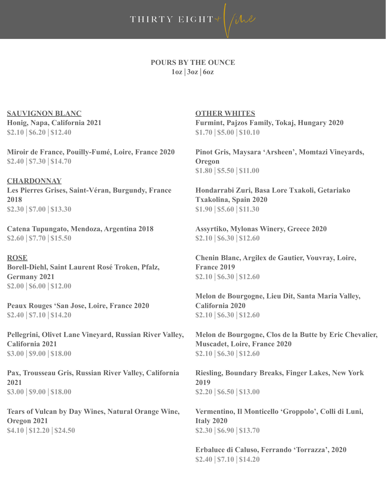

**POURS BY THE OUNCE**  $1oz | 3oz | 6oz$ 

**SAUVIGNON BLANC** Honig, Napa, California 2021  $$2.10 \mid $6.20 \mid $12.40$ 

Miroir de France, Pouilly-Fumé, Loire, France 2020  $$2.40$  | \$7.30 | \$14.70

**CHARDONNAY** Les Pierres Grises, Saint-Véran, Burgundy, France 2018 \$2.30 | \$7.00 | \$13.30

Catena Tupungato, Mendoza, Argentina 2018  $$2.60$  | \$7.70 | \$15.50

**ROSE** Borell-Diehl, Saint Laurent Rosé Troken, Pfalz, **Germany 2021**  $$2.00 \, | \, $6.00 \, | \, $12.00$ 

**Peaux Rouges 'San Jose, Loire, France 2020** \$2.40 | \$7.10 | \$14.20

Pellegrini, Olivet Lane Vineyard, Russian River Valley, California 2021 \$3.00 | \$9.00 | \$18.00

Pax, Trousseau Gris, Russian River Valley, California 2021  $$3.00 \,|\, $9.00 \,|\, $18.00$ 

Tears of Vulcan by Day Wines, Natural Orange Wine, Oregon 2021 \$4.10 | \$12.20 | \$24.50

**OTHER WHITES** Furmint, Pajzos Family, Tokaj, Hungary 2020  $$1.70 \mid $5.00 \mid $10.10$ 

Pinot Gris, Maysara 'Arsheen', Momtazi Vineyards, Oregon  $$1.80 \mid $5.50 \mid $11.00$ 

Hondarrabi Zuri, Basa Lore Txakoli, Getariako **Txakolina, Spain 2020**  $$1.90 \mid $5.60 \mid $11.30$ 

**Assyrtiko, Mylonas Winery, Greece 2020**  $$2.10 | $6.30 | $12.60$ 

Chenin Blanc, Argilex de Gautier, Vouvray, Loire, **France 2019**  $$2.10 \, | \, $6.30 \, | \, $12.60$ 

Melon de Bourgogne, Lieu Dit, Santa Maria Valley, California 2020  $$2.10 | $6.30 | $12.60$ 

Melon de Bourgogne, Clos de la Butte by Eric Chevalier, **Muscadet, Loire, France 2020** \$2.10 | \$6.30 | \$12.60

**Riesling, Boundary Breaks, Finger Lakes, New York** 2019  $$2.20 | $6.50 | $13.00$ 

Vermentino, Il Monticello 'Groppolo', Colli di Luni, **Italy 2020**  $$2.30 \mid $6.90 \mid $13.70$ 

Erbaluce di Caluso, Ferrando 'Torrazza', 2020 \$2.40 | \$7.10 | \$14.20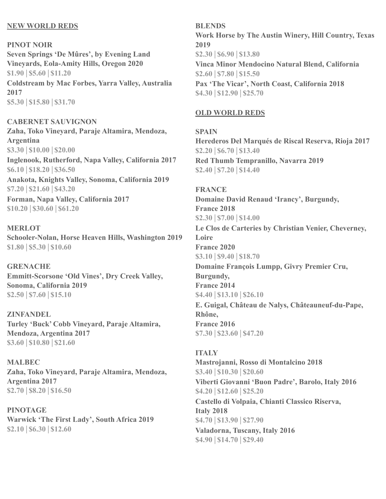## **NEW WORLD REDS**

### **PINOT NOIR**

**Seven Springs 'De Mûres', by Evening Land Vineyards, Eola-Amity Hills, Oregon 2020 \$1.90** ⎜**\$5.60** ⎜**\$11.20 Coldstream by Mac Forbes, Yarra Valley, Australia 2017 \$5.30** ⎜**\$15.80** ⎜**\$31.70** 

## **CABERNET SAUVIGNON**

**Zaha, Toko Vineyard, Paraje Altamira, Mendoza, Argentina \$3.30** ⎜**\$10.00** ⎜**\$20.00 Inglenook, Rutherford, Napa Valley, California 2017 \$6.10** ⎜**\$18.20** ⎜**\$36.50 Anakota, Knights Valley, Sonoma, California 2019 \$7.20** ⎜**\$21.60** ⎜**\$43.20** 

**Forman, Napa Valley, California 2017 \$10.20** ⎜**\$30.60** ⎜**\$61.20** 

## **MERLOT**

**Schooler-Nolan, Horse Heaven Hills, Washington 2019 \$1.80** ⎜**\$5.30** ⎜**\$10.60** 

### **GRENACHE**

**Emmitt-Scorsone 'Old Vines', Dry Creek Valley, Sonoma, California 2019 \$2.50** ⎜**\$7.60** ⎜**\$15.10** 

**ZINFANDEL Turley 'Buck' Cobb Vineyard, Paraje Altamira, Mendoza, Argentina 2017 \$3.60** ⎜**\$10.80** ⎜**\$21.60** 

#### **MALBEC**

**Zaha, Toko Vineyard, Paraje Altamira, Mendoza, Argentina 2017 \$2.70** ⎜**\$8.20** ⎜**\$16.50** 

**PINOTAGE Warwick 'The First Lady', South Africa 2019 \$2.10** ⎜**\$6.30** ⎜**\$12.60** 

# **BLENDS Work Horse by The Austin Winery, Hill Country, Texas 2019 \$2.30** ⎜**\$6.90** ⎜**\$13.80 Vinca Minor Mendocino Natural Blend, California \$2.60** ⎜**\$7.80** ⎜**\$15.50 Pax 'The Vicar', North Coast, California 2018 \$4.30** ⎜**\$12.90** ⎜**\$25.70**

### **OLD WORLD REDS**

### **SPAIN**

**Herederos Del Marqués de Riscal Reserva, Rioja 2017 \$2.20** ⎜**\$6.70** ⎜**\$13.40 Red Thumb Tempranillo, Navarra 2019 \$2.40** ⎜**\$7.20** ⎜**\$14.40** 

#### **FRANCE**

**Domaine David Renaud 'Irancy', Burgundy, France 2018 \$2.30** ⎜**\$7.00** ⎜**\$14.00 Le Clos de Carteries by Christian Venier, Cheverney, Loire France 2020 \$3.10** ⎜**\$9.40** ⎜**\$18.70 Domaine François Lumpp, Givry Premier Cru, Burgundy, France 2014 \$4.40** ⎜**\$13.10** ⎜**\$26.10 E. Guigal, Château de Nalys, Châteauneuf-du-Pape, Rhône,** 

**France 2016 \$7.30** ⎜**\$23.60** ⎜**\$47.20** 

### **ITALY**

**Mastrojanni, Rosso di Montalcino 2018 \$3.40** ⎜**\$10.30** ⎜**\$20.60 Viberti Giovanni 'Buon Padre', Barolo, Italy 2016 \$4.20** ⎜**\$12.60** ⎜**\$25.20 Castello di Volpaia, Chianti Classico Riserva, Italy 2018 \$4.70** ⎜**\$13.90** ⎜**\$27.90 Valadorna, Tuscany, Italy 2016 \$4.90** ⎜**\$14.70** ⎜**\$29.40**